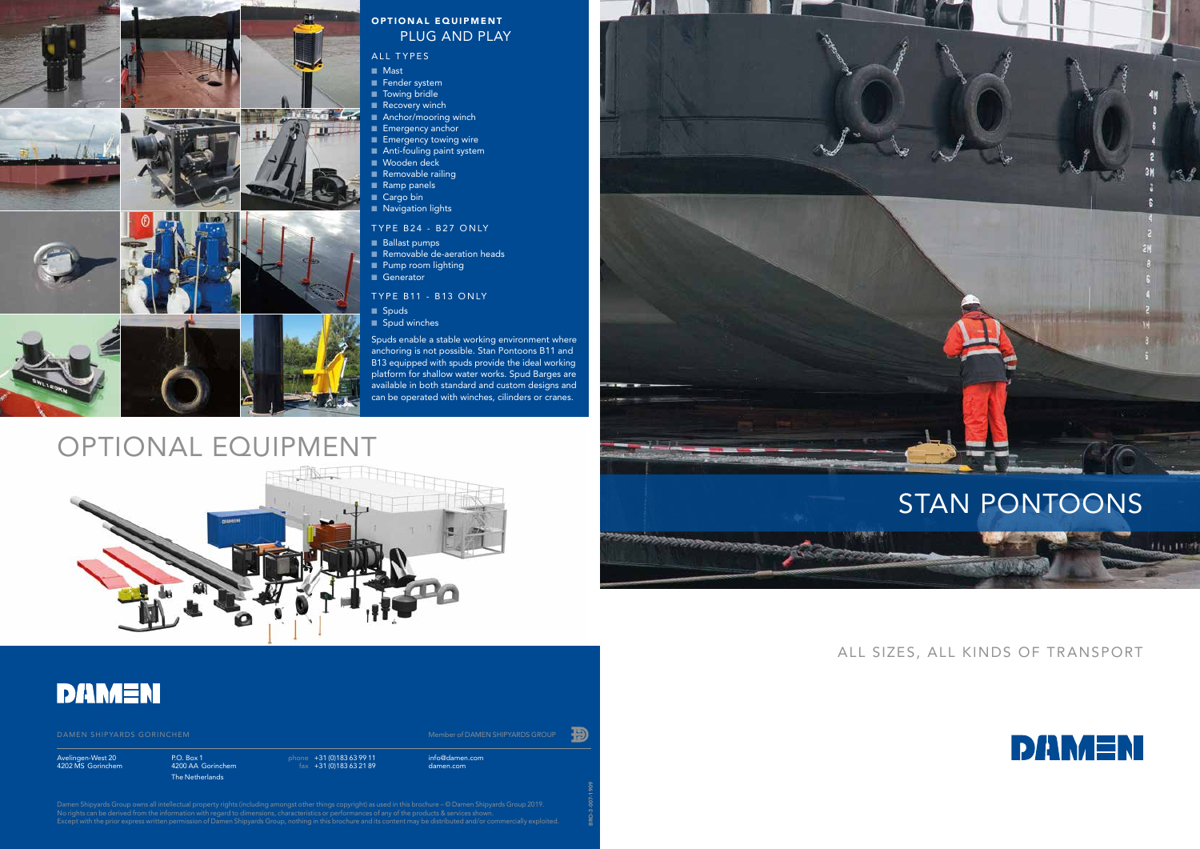## OPTIONAL EQUIPMENT



### **DAMEN**



### OPTIONAL EQUIPMENT PLUG AND PLAY

#### ALL TYPES

- Mast
- Fender system
- Towing bridle
- Recovery winch
- **Anchor/mooring winch**
- **Emergency anchor**
- **Emergency towing wire**
- Anti-fouling paint system
- Wooden deck
- $\blacksquare$  Removable railing
- Ramp panels ■ Cargo bin
- **Navigation lights**
- TYPE B24 B27 ONLY
- Ballast pumps
- **Removable de-aeration heads**
- **Pump room lighting**
- **Generator**
- TYPE B11 B13 ONLY

Damen Shipyards Group owns all intellectual property rights (including amongst other things copyright) as used in this brochure – © Damen Shipyards Group 2019. No rights can be derived from the information with regard to dimensions, characteristics or performances of any of the products & services shown. Except with the prior express written permission of Damen Shipyards Group, nothing in this brochure and its content may be distributed and/or commercially exploited.

Spuds enable a stable working environment where anchoring is not possible. Stan Pontoons B11 and B13 equipped with spuds provide the ideal working platform for shallow water works. Spud Barges are available in both standard and custom designs and can be operated with winches, cilinders or cranes.

- $\blacksquare$  Spuds
- Spud winches

info@damen.com damen.com

Avelingen-West 20 4202 MS Gorinchem phone +31 (0)183 63 99 11 fax +31 (0)183 63 21 89

BRO-3-007-1909

P.O. Box 1 4200 AA Gorinchem The Netherlands

### ALL SIZES, ALL KINDS OF TRANSPORT